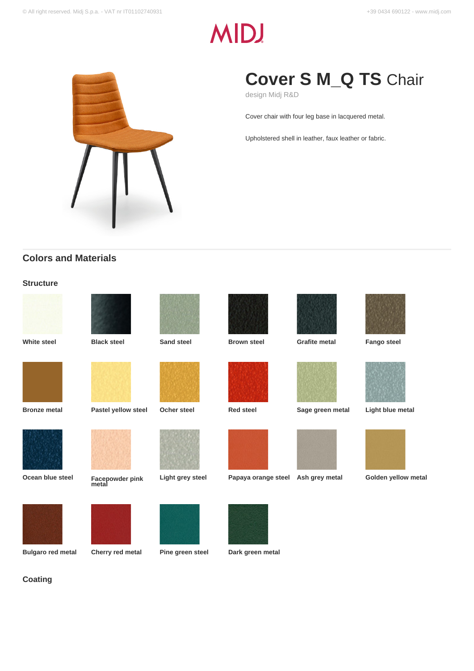# **MID!**



## **Cover S M\_Q TS** Chair

design Midj R&D

Cover chair with four leg base in lacquered metal.

Upholstered shell in leather, faux leather or fabric.

## **Colors and Materials**

## **Structure**

**Coating**

| <b>White steel</b>       | <b>Black steel</b>       | Sand steel       | <b>Brown steel</b>  | <b>Grafite metal</b> | <b>Fango steel</b>  |
|--------------------------|--------------------------|------------------|---------------------|----------------------|---------------------|
|                          |                          |                  |                     |                      |                     |
| <b>Bronze metal</b>      | Pastel yellow steel      | Ocher steel      | <b>Red steel</b>    | Sage green metal     | Light blue metal    |
|                          |                          |                  |                     |                      |                     |
| Ocean blue steel         | Facepowder pink<br>metal | Light grey steel | Papaya orange steel | Ash grey metal       | Golden yellow metal |
|                          |                          |                  |                     |                      |                     |
| <b>Bulgaro red metal</b> | Cherry red metal         | Pine green steel | Dark green metal    |                      |                     |
|                          |                          |                  |                     |                      |                     |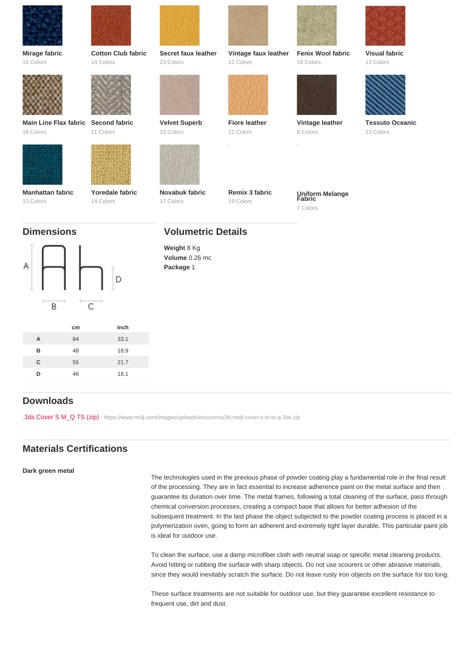| Mirage fabric         | Cotton Club fabric | Secret faux leather                                                     | Vintage faux leather | Fenix Wool fabric         | Visual fabric          |
|-----------------------|--------------------|-------------------------------------------------------------------------|----------------------|---------------------------|------------------------|
| 15 Colors             | 14 Colors          | 23 Colors                                                               | 12 Colors            | 16 Colors                 | 13 Colors              |
| Main Line Flax fabric | Second fabric      | Velvet Superb                                                           | Fiore leather        | Vintage leather           | <b>Tessuto Oceanic</b> |
| 16 Colors             | 11 Colors          | 15 Colors                                                               | 21 Colors            | 8 Colors                  | 13 Colors              |
| Manhattan fabric      | Yoredale fabric    | Novabuk fabric                                                          | Remix 3 fabric       | Uniform Melange<br>Fabric |                        |
| 13 Colors             | 14 Colors          | 17 Colors                                                               | 19 Colors            | 7 Colors                  |                        |
| <b>Dimensions</b>     |                    | <b>Volumetric Details</b><br>Weight 8 Kg<br>Volume 0.26 mc<br>Package 1 |                      |                           |                        |

|   | cm | inch |
|---|----|------|
| A | 84 | 33.1 |
| B | 48 | 18.9 |
| C | 55 | 21.7 |
| D | 46 | 18.1 |
|   |    |      |

## Downloads

[.3ds Cover S M\\_Q TS \(zip\)](https://www.midj.com/images/uploads/resources/3d-midj-cover-s-m-ts-q-3ds.zip) [- https://www.midj.com/images/uploads/resources/3d-midj-cover-s-m-ts-q-3ds.zip](https://www.midj.com/images/uploads/resources/3d-midj-cover-s-m-ts-q-3ds.zip)

## Materials Certifications

#### Dark green metal

The technologies used in the previous phase of powder coating play a fundamental role in the final result of the processing. They are in fact essential to increase adherence paint on the metal surface and then guarantee its duration over time. The metal frames, following a total cleaning of the surface, pass through chemical conversion processes, creating a compact base that allows for better adhesion of the subsequent treatment. In the last phase the object subjected to the powder coating process is placed in a polymerization oven, going to form an adherent and extremely tight layer durable. This particular paint job is ideal for outdoor use.

To clean the surface, use a damp microfiber cloth with neutral soap or specific metal cleaning products. Avoid hitting or rubbing the surface with sharp objects. Do not use scourers or other abrasive materials, since they would inevitably scratch the surface. Do not leave rusty iron objects on the surface for too long.

These surface treatments are not suitable for outdoor use, but they guarantee excellent resistance to frequent use, dirt and dust.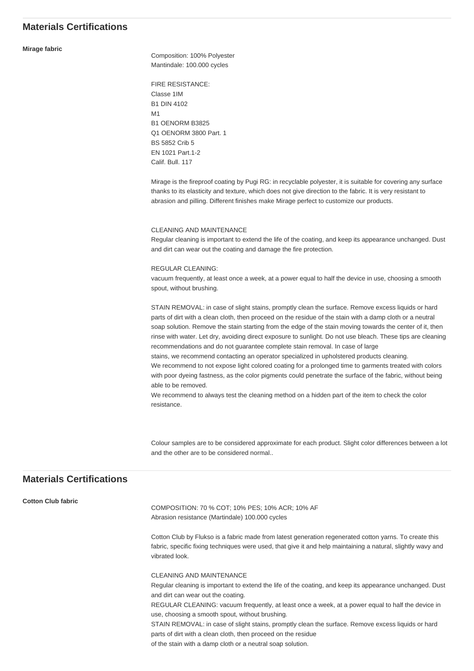## **Materials Certifications**

#### **Mirage fabric**

Composition: 100% Polyester Mantindale: 100.000 cycles

FIRE RESISTANCE: Classe 1IM B1 DIN 4102 M1 B1 OENORM B3825 Q1 OENORM 3800 Part. 1 BS 5852 Crib 5 EN 1021 Part.1-2 Calif. Bull. 117

Mirage is the fireproof coating by Pugi RG: in recyclable polyester, it is suitable for covering any surface thanks to its elasticity and texture, which does not give direction to the fabric. It is very resistant to abrasion and pilling. Different finishes make Mirage perfect to customize our products.

#### CLEANING AND MAINTENANCE

Regular cleaning is important to extend the life of the coating, and keep its appearance unchanged. Dust and dirt can wear out the coating and damage the fire protection.

#### REGULAR CLEANING:

vacuum frequently, at least once a week, at a power equal to half the device in use, choosing a smooth spout, without brushing.

STAIN REMOVAL: in case of slight stains, promptly clean the surface. Remove excess liquids or hard parts of dirt with a clean cloth, then proceed on the residue of the stain with a damp cloth or a neutral soap solution. Remove the stain starting from the edge of the stain moving towards the center of it, then rinse with water. Let dry, avoiding direct exposure to sunlight. Do not use bleach. These tips are cleaning recommendations and do not guarantee complete stain removal. In case of large

stains, we recommend contacting an operator specialized in upholstered products cleaning. We recommend to not expose light colored coating for a prolonged time to garments treated with colors with poor dyeing fastness, as the color pigments could penetrate the surface of the fabric, without being able to be removed.

We recommend to always test the cleaning method on a hidden part of the item to check the color resistance.

Colour samples are to be considered approximate for each product. Slight color differences between a lot and the other are to be considered normal..

## **Materials Certifications**

### **Cotton Club fabric**

COMPOSITION: 70 % COT; 10% PES; 10% ACR; 10% AF Abrasion resistance (Martindale) 100.000 cycles

Cotton Club by Flukso is a fabric made from latest generation regenerated cotton yarns. To create this fabric, specific fixing techniques were used, that give it and help maintaining a natural, slightly wavy and vibrated look.

CLEANING AND MAINTENANCE Regular cleaning is important to extend the life of the coating, and keep its appearance unchanged. Dust and dirt can wear out the coating. REGULAR CLEANING: vacuum frequently, at least once a week, at a power equal to half the device in use, choosing a smooth spout, without brushing. STAIN REMOVAL: in case of slight stains, promptly clean the surface. Remove excess liquids or hard parts of dirt with a clean cloth, then proceed on the residue

of the stain with a damp cloth or a neutral soap solution.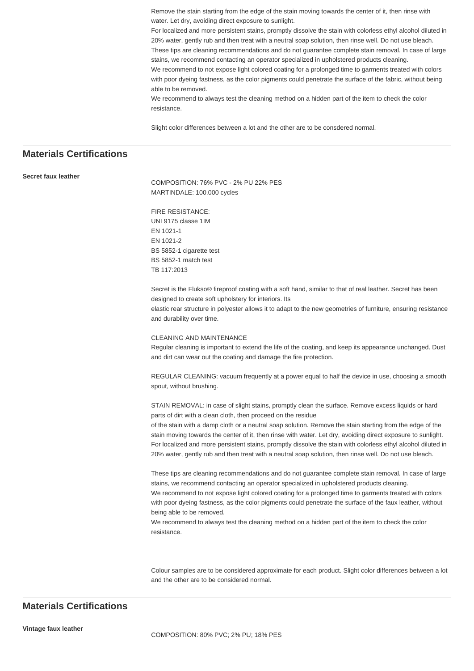Remove the stain starting from the edge of the stain moving towards the center of it, then rinse with water. Let dry, avoiding direct exposure to sunlight.

For localized and more persistent stains, promptly dissolve the stain with colorless ethyl alcohol diluted in 20% water, gently rub and then treat with a neutral soap solution, then rinse well. Do not use bleach. These tips are cleaning recommendations and do not guarantee complete stain removal. In case of large stains, we recommend contacting an operator specialized in upholstered products cleaning. We recommend to not expose light colored coating for a prolonged time to garments treated with colors with poor dyeing fastness, as the color pigments could penetrate the surface of the fabric, without being able to be removed.

We recommend to always test the cleaning method on a hidden part of the item to check the color resistance.

Slight color differences between a lot and the other are to be consdered normal.

## **Materials Certifications**

#### **Secret faux leather**

COMPOSITION: 76% PVC - 2% PLL22% PES MARTINDALE: 100.000 cycles

FIRE RESISTANCE: UNI 9175 classe 1IM EN 1021-1 EN 1021-2 BS 5852-1 cigarette test BS 5852-1 match test TB 117:2013

Secret is the Flukso® fireproof coating with a soft hand, similar to that of real leather. Secret has been designed to create soft upholstery for interiors. Its

elastic rear structure in polyester allows it to adapt to the new geometries of furniture, ensuring resistance and durability over time.

#### CLEANING AND MAINTENANCE

Regular cleaning is important to extend the life of the coating, and keep its appearance unchanged. Dust and dirt can wear out the coating and damage the fire protection.

REGULAR CLEANING: vacuum frequently at a power equal to half the device in use, choosing a smooth spout, without brushing.

STAIN REMOVAL: in case of slight stains, promptly clean the surface. Remove excess liquids or hard parts of dirt with a clean cloth, then proceed on the residue

of the stain with a damp cloth or a neutral soap solution. Remove the stain starting from the edge of the stain moving towards the center of it, then rinse with water. Let dry, avoiding direct exposure to sunlight. For localized and more persistent stains, promptly dissolve the stain with colorless ethyl alcohol diluted in 20% water, gently rub and then treat with a neutral soap solution, then rinse well. Do not use bleach.

These tips are cleaning recommendations and do not guarantee complete stain removal. In case of large stains, we recommend contacting an operator specialized in upholstered products cleaning.

We recommend to not expose light colored coating for a prolonged time to garments treated with colors with poor dyeing fastness, as the color pigments could penetrate the surface of the faux leather, without being able to be removed.

We recommend to always test the cleaning method on a hidden part of the item to check the color resistance.

Colour samples are to be considered approximate for each product. Slight color differences between a lot and the other are to be considered normal.

## **Materials Certifications**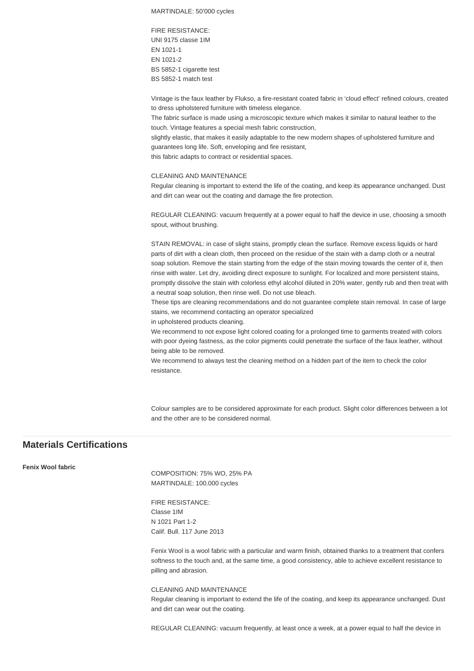MARTINDALE: 50'000 cycles

FIRE RESISTANCE: UNI 9175 classe 1IM EN 1021-1 EN 1021-2 BS 5852-1 cigarette test BS 5852-1 match test

Vintage is the faux leather by Flukso, a fire-resistant coated fabric in 'cloud effect' refined colours, created to dress upholstered furniture with timeless elegance.

The fabric surface is made using a microscopic texture which makes it similar to natural leather to the touch. Vintage features a special mesh fabric construction,

slightly elastic, that makes it easily adaptable to the new modern shapes of upholstered furniture and guarantees long life. Soft, enveloping and fire resistant,

this fabric adapts to contract or residential spaces.

#### CLEANING AND MAINTENANCE

Regular cleaning is important to extend the life of the coating, and keep its appearance unchanged. Dust and dirt can wear out the coating and damage the fire protection.

REGULAR CLEANING: vacuum frequently at a power equal to half the device in use, choosing a smooth spout, without brushing.

STAIN REMOVAL: in case of slight stains, promptly clean the surface. Remove excess liquids or hard parts of dirt with a clean cloth, then proceed on the residue of the stain with a damp cloth or a neutral soap solution. Remove the stain starting from the edge of the stain moving towards the center of it, then rinse with water. Let dry, avoiding direct exposure to sunlight. For localized and more persistent stains, promptly dissolve the stain with colorless ethyl alcohol diluted in 20% water, gently rub and then treat with a neutral soap solution, then rinse well. Do not use bleach.

These tips are cleaning recommendations and do not guarantee complete stain removal. In case of large stains, we recommend contacting an operator specialized

in upholstered products cleaning.

We recommend to not expose light colored coating for a prolonged time to garments treated with colors with poor dyeing fastness, as the color pigments could penetrate the surface of the faux leather, without being able to be removed.

We recommend to always test the cleaning method on a hidden part of the item to check the color resistance.

Colour samples are to be considered approximate for each product. Slight color differences between a lot and the other are to be considered normal.

## **Materials Certifications**

#### **Fenix Wool fabric**

COMPOSITION: 75% WO, 25% PA MARTINDALE: 100.000 cycles

FIRE RESISTANCE: Classe 1IM N 1021 Part 1-2 Calif. Bull. 117 June 2013

Fenix Wool is a wool fabric with a particular and warm finish, obtained thanks to a treatment that confers softness to the touch and, at the same time, a good consistency, able to achieve excellent resistance to pilling and abrasion.

CLEANING AND MAINTENANCE Regular cleaning is important to extend the life of the coating, and keep its appearance unchanged. Dust and dirt can wear out the coating.

REGULAR CLEANING: vacuum frequently, at least once a week, at a power equal to half the device in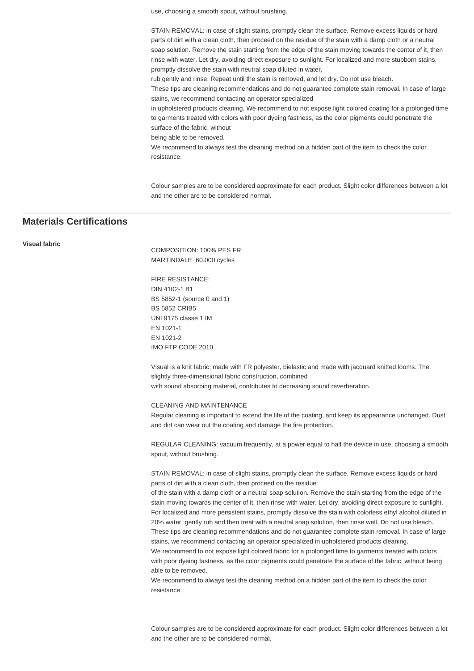use, choosing a smooth spout, without brushing.

STAIN REMOVAL: in case of slight stains, promptly clean the surface. Remove excess liquids or hard parts of dirt with a clean cloth, then proceed on the residue of the stain with a damp cloth or a neutral soap solution. Remove the stain starting from the edge of the stain moving towards the center of it, then rinse with water. Let dry, avoiding direct exposure to sunlight. For localized and more stubborn stains, promptly dissolve the stain with neutral soap diluted in water,

rub gently and rinse. Repeat until the stain is removed, and let dry. Do not use bleach.

These tips are cleaning recommendations and do not guarantee complete stain removal. In case of large stains, we recommend contacting an operator specialized

in upholstered products cleaning. We recommend to not expose light colored coating for a prolonged time to garments treated with colors with poor dyeing fastness, as the color pigments could penetrate the surface of the fabric, without

being able to be removed.

We recommend to always test the cleaning method on a hidden part of the item to check the color resistance.

Colour samples are to be considered approximate for each product. Slight color differences between a lot and the other are to be considered normal.

## **Materials Certifications**

**Visual fabric**

COMPOSITION: 100% PES FR MARTINDALE: 60.000 cycles

FIRE RESISTANCE: DIN 4102-1 B1 BS 5852-1 (source 0 and 1) BS 5852 CRIB5 UNI 9175 classe 1 IM EN 1021-1 EN 1021-2 IMO FTP CODE 2010

Visual is a knit fabric, made with FR polyester, bielastic and made with jacquard knitted looms. The slightly three-dimensional fabric construction, combined with sound absorbing material, contributes to decreasing sound reverberation.

CLEANING AND MAINTENANCE

Regular cleaning is important to extend the life of the coating, and keep its appearance unchanged. Dust and dirt can wear out the coating and damage the fire protection.

REGULAR CLEANING: vacuum frequently, at a power equal to half the device in use, choosing a smooth spout, without brushing.

STAIN REMOVAL: in case of slight stains, promptly clean the surface. Remove excess liquids or hard parts of dirt with a clean cloth, then proceed on the residue

of the stain with a damp cloth or a neutral soap solution. Remove the stain starting from the edge of the stain moving towards the center of it, then rinse with water. Let dry, avoiding direct exposure to sunlight. For localized and more persistent stains, promptly dissolve the stain with colorless ethyl alcohol diluted in 20% water, gently rub and then treat with a neutral soap solution, then rinse well. Do not use bleach. These tips are cleaning recommendations and do not guarantee complete stain removal. In case of large

stains, we recommend contacting an operator specialized in upholstered products cleaning.

We recommend to not expose light colored fabric for a prolonged time to garments treated with colors with poor dyeing fastness, as the color pigments could penetrate the surface of the fabric, without being able to be removed.

We recommend to always test the cleaning method on a hidden part of the item to check the color resistance.

Colour samples are to be considered approximate for each product. Slight color differences between a lot and the other are to be considered normal.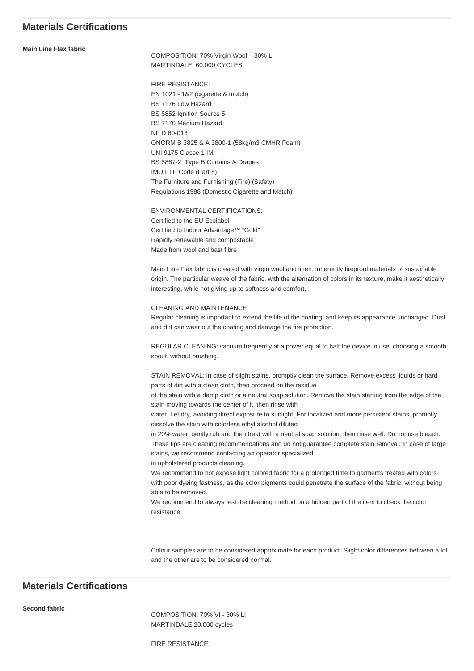## **Materials Certifications**

**Main Line Flax fabric**

COMPOSITION: 70% Virgin Wool – 30% LI MARTINDALE: 60.000 CYCLES

FIRE RESISTANCE: EN 1021 - 1&2 (cigarette & match) BS 7176 Low Hazard BS 5852 Ignition Source 5 BS 7176 Medium Hazard NF D 60-013 ÖNORM B 3825 & A 3800-1 (58kg/m3 CMHR Foam) UNI 9175 Classe 1 IM BS 5867-2: Type B Curtains & Drapes IMO FTP Code (Part 8) The Furniture and Furnishing (Fire) (Safety) Regulations 1988 (Domestic Cigarette and Match)

ENVIRONMENTAL CERTIFICATIONS: Certified to the EU Ecolabel Certified to Indoor Advantage™ "Gold" Rapidly renewable and compostable Made from wool and bast fibre

Main Line Flax fabric is created with virgin wool and linen, inherently fireproof materials of sustainable origin. The particular weave of the fabric, with the alternation of colors in its texture, make it aesthetically interesting, while not giving up to softness and comfort.

CLEANING AND MAINTENANCE Regular cleaning is important to extend the life of the coating, and keep its appearance unchanged. Dust and dirt can wear out the coating and damage the fire protection.

REGULAR CLEANING: vacuum frequently at a power equal to half the device in use, choosing a smooth spout, without brushing.

STAIN REMOVAL: in case of slight stains, promptly clean the surface. Remove excess liquids or hard parts of dirt with a clean cloth, then proceed on the residue

of the stain with a damp cloth or a neutral soap solution. Remove the stain starting from the edge of the stain moving towards the center of it, then rinse with

water. Let dry, avoiding direct exposure to sunlight. For localized and more persistent stains, promptly dissolve the stain with colorless ethyl alcohol diluted

in 20% water, gently rub and then treat with a neutral soap solution, then rinse well. Do not use bleach. These tips are cleaning recommendations and do not guarantee complete stain removal. In case of large stains, we recommend contacting an operator specialized

in upholstered products cleaning.

We recommend to not expose light colored fabric for a prolonged time to garments treated with colors with poor dyeing fastness, as the color pigments could penetrate the surface of the fabric, without being able to be removed.

We recommend to always test the cleaning method on a hidden part of the item to check the color resistance.

Colour samples are to be considered approximate for each product. Slight color differences between a lot and the other are to be considered normal.

## **Materials Certifications**

**Second fabric**

COMPOSITION: 70% VI - 30% LI MARTINDALE 20.000 cycles

FIRE RESISTANCE: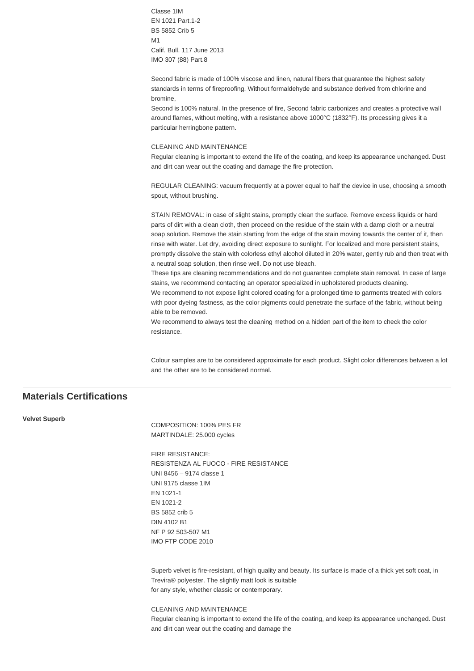Classe 1IM EN 1021 Part.1-2 BS 5852 Crib 5 M1 Calif. Bull. 117 June 2013 IMO 307 (88) Part.8

Second fabric is made of 100% viscose and linen, natural fibers that guarantee the highest safety standards in terms of fireproofing. Without formaldehyde and substance derived from chlorine and bromine,

Second is 100% natural. In the presence of fire, Second fabric carbonizes and creates a protective wall around flames, without melting, with a resistance above 1000°C (1832°F). Its processing gives it a particular herringbone pattern.

#### CLEANING AND MAINTENANCE

Regular cleaning is important to extend the life of the coating, and keep its appearance unchanged. Dust and dirt can wear out the coating and damage the fire protection.

REGULAR CLEANING: vacuum frequently at a power equal to half the device in use, choosing a smooth spout, without brushing.

STAIN REMOVAL: in case of slight stains, promptly clean the surface. Remove excess liquids or hard parts of dirt with a clean cloth, then proceed on the residue of the stain with a damp cloth or a neutral soap solution. Remove the stain starting from the edge of the stain moving towards the center of it, then rinse with water. Let dry, avoiding direct exposure to sunlight. For localized and more persistent stains, promptly dissolve the stain with colorless ethyl alcohol diluted in 20% water, gently rub and then treat with a neutral soap solution, then rinse well. Do not use bleach.

These tips are cleaning recommendations and do not guarantee complete stain removal. In case of large stains, we recommend contacting an operator specialized in upholstered products cleaning.

We recommend to not expose light colored coating for a prolonged time to garments treated with colors with poor dyeing fastness, as the color pigments could penetrate the surface of the fabric, without being able to be removed.

We recommend to always test the cleaning method on a hidden part of the item to check the color resistance.

Colour samples are to be considered approximate for each product. Slight color differences between a lot and the other are to be considered normal.

## **Materials Certifications**

#### **Velvet Superb**

COMPOSITION: 100% PES FR MARTINDALE: 25.000 cycles

FIRE RESISTANCE: RESISTENZA AL FUOCO - FIRE RESISTANCE UNI 8456 – 9174 classe 1 UNI 9175 classe 1IM EN 1021-1 EN 1021-2 BS 5852 crib 5 DIN 4102 B1 NF P 92 503-507 M1 IMO FTP CODE 2010

Superb velvet is fire-resistant, of high quality and beauty. Its surface is made of a thick yet soft coat, in Trevira® polyester. The slightly matt look is suitable for any style, whether classic or contemporary.

CLEANING AND MAINTENANCE

Regular cleaning is important to extend the life of the coating, and keep its appearance unchanged. Dust and dirt can wear out the coating and damage the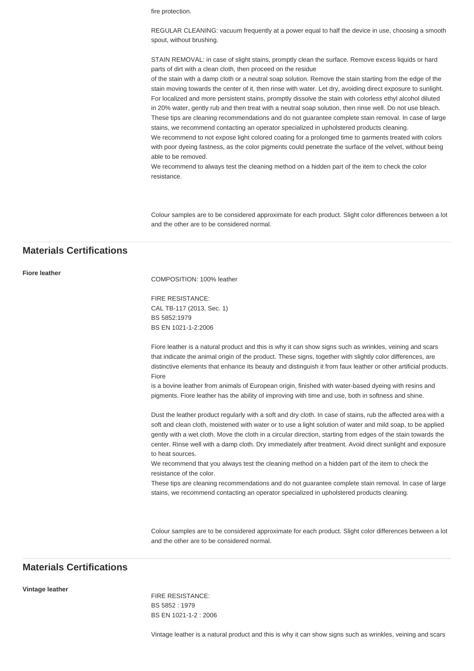fire protection.

REGULAR CLEANING: vacuum frequently at a power equal to half the device in use, choosing a smooth spout, without brushing.

STAIN REMOVAL: in case of slight stains, promptly clean the surface. Remove excess liquids or hard parts of dirt with a clean cloth, then proceed on the residue

of the stain with a damp cloth or a neutral soap solution. Remove the stain starting from the edge of the stain moving towards the center of it, then rinse with water. Let dry, avoiding direct exposure to sunlight. For localized and more persistent stains, promptly dissolve the stain with colorless ethyl alcohol diluted in 20% water, gently rub and then treat with a neutral soap solution, then rinse well. Do not use bleach. These tips are cleaning recommendations and do not guarantee complete stain removal. In case of large stains, we recommend contacting an operator specialized in upholstered products cleaning.

We recommend to not expose light colored coating for a prolonged time to garments treated with colors with poor dyeing fastness, as the color pigments could penetrate the surface of the velvet, without being able to be removed.

We recommend to always test the cleaning method on a hidden part of the item to check the color resistance.

Colour samples are to be considered approximate for each product. Slight color differences between a lot and the other are to be considered normal.

## **Materials Certifications**

**Fiore leather**

COMPOSITION: 100% leather

FIRE RESISTANCE: CAL TB-117 (2013, Sec. 1) BS 5852:1979 BS EN 1021-1-2:2006

Fiore leather is a natural product and this is why it can show signs such as wrinkles, veining and scars that indicate the animal origin of the product. These signs, together with slightly color differences, are distinctive elements that enhance its beauty and distinguish it from faux leather or other artificial products. Fiore

is a bovine leather from animals of European origin, finished with water-based dyeing with resins and pigments. Fiore leather has the ability of improving with time and use, both in softness and shine.

Dust the leather product regularly with a soft and dry cloth. In case of stains, rub the affected area with a soft and clean cloth, moistened with water or to use a light solution of water and mild soap, to be applied gently with a wet cloth. Move the cloth in a circular direction, starting from edges of the stain towards the center. Rinse well with a damp cloth. Dry immediately after treatment. Avoid direct sunlight and exposure to heat sources.

We recommend that you always test the cleaning method on a hidden part of the item to check the resistance of the color.

These tips are cleaning recommendations and do not guarantee complete stain removal. In case of large stains, we recommend contacting an operator specialized in upholstered products cleaning.

Colour samples are to be considered approximate for each product. Slight color differences between a lot and the other are to be considered normal.

## **Materials Certifications**

**Vintage leather**

FIRE RESISTANCE: BS 5852 : 1979 BS EN 1021-1-2 : 2006

Vintage leather is a natural product and this is why it can show signs such as wrinkles, veining and scars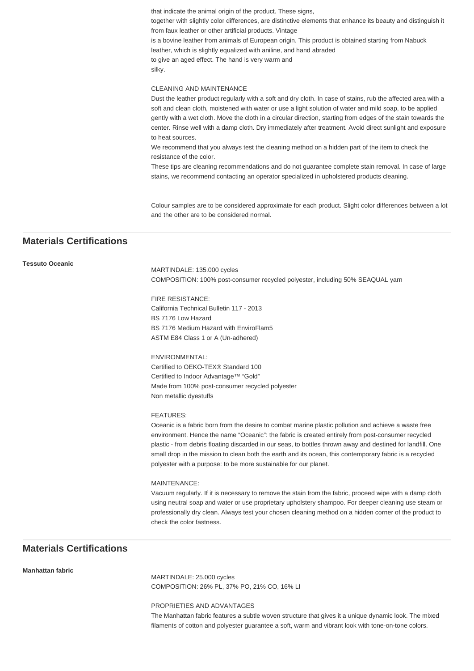that indicate the animal origin of the product. These signs, together with slightly color differences, are distinctive elements that enhance its beauty and distinguish it from faux leather or other artificial products. Vintage is a bovine leather from animals of European origin. This product is obtained starting from Nabuck leather, which is slightly equalized with aniline, and hand abraded to give an aged effect. The hand is very warm and silky.

#### CLEANING AND MAINTENANCE

Dust the leather product regularly with a soft and dry cloth. In case of stains, rub the affected area with a soft and clean cloth, moistened with water or use a light solution of water and mild soap, to be applied gently with a wet cloth. Move the cloth in a circular direction, starting from edges of the stain towards the center. Rinse well with a damp cloth. Dry immediately after treatment. Avoid direct sunlight and exposure to heat sources.

We recommend that you always test the cleaning method on a hidden part of the item to check the resistance of the color.

These tips are cleaning recommendations and do not guarantee complete stain removal. In case of large stains, we recommend contacting an operator specialized in upholstered products cleaning.

Colour samples are to be considered approximate for each product. Slight color differences between a lot and the other are to be considered normal.

## **Materials Certifications**

#### **Tessuto Oceanic**

MARTINDALE: 135.000 cycles COMPOSITION: 100% post-consumer recycled polyester, including 50% SEAQUAL yarn

FIRE RESISTANCE: California Technical Bulletin 117 - 2013 BS 7176 Low Hazard BS 7176 Medium Hazard with EnviroFlam5 ASTM E84 Class 1 or A (Un-adhered)

ENVIRONMENTAL: Certified to OEKO-TEX® Standard 100 Certified to Indoor Advantage™ "Gold" Made from 100% post-consumer recycled polyester Non metallic dyestuffs

#### FEATURES:

Oceanic is a fabric born from the desire to combat marine plastic pollution and achieve a waste free environment. Hence the name "Oceanic": the fabric is created entirely from post-consumer recycled plastic - from debris floating discarded in our seas, to bottles thrown away and destined for landfill. One small drop in the mission to clean both the earth and its ocean, this contemporary fabric is a recycled polyester with a purpose: to be more sustainable for our planet.

#### MAINTENANCE:

Vacuum regularly. If it is necessary to remove the stain from the fabric, proceed wipe with a damp cloth using neutral soap and water or use proprietary upholstery shampoo. For deeper cleaning use steam or professionally dry clean. Always test your chosen cleaning method on a hidden corner of the product to check the color fastness.

## **Materials Certifications**

#### **Manhattan fabric**

MARTINDALE: 25.000 cycles COMPOSITION: 26% PL, 37% PO, 21% CO, 16% LI

PROPRIETIES AND ADVANTAGES

The Manhattan fabric features a subtle woven structure that gives it a unique dynamic look. The mixed filaments of cotton and polyester guarantee a soft, warm and vibrant look with tone-on-tone colors.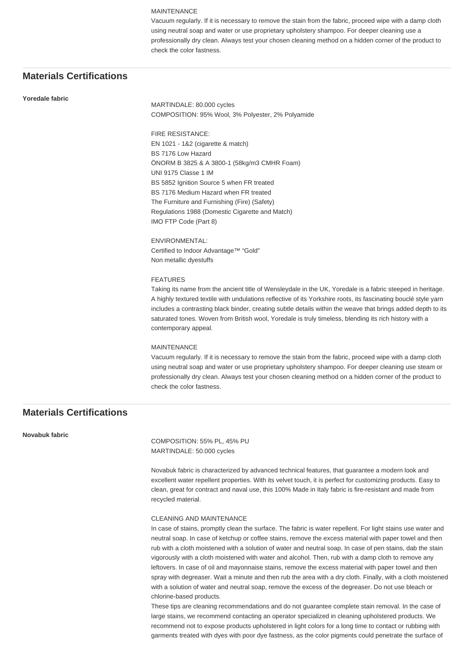#### MAINTENANCE

Vacuum regularly. If it is necessary to remove the stain from the fabric, proceed wipe with a damp cloth using neutral soap and water or use proprietary upholstery shampoo. For deeper cleaning use a professionally dry clean. Always test your chosen cleaning method on a hidden corner of the product to check the color fastness.

## **Materials Certifications**

#### **Yoredale fabric**

MARTINDALE: 80.000 cycles COMPOSITION: 95% Wool, 3% Polyester, 2% Polyamide

FIRE RESISTANCE: EN 1021 - 1&2 (cigarette & match) BS 7176 Low Hazard ÖNORM B 3825 & A 3800-1 (58kg/m3 CMHR Foam) UNI 9175 Classe 1 IM BS 5852 Ignition Source 5 when FR treated BS 7176 Medium Hazard when FR treated The Furniture and Furnishing (Fire) (Safety) Regulations 1988 (Domestic Cigarette and Match) IMO FTP Code (Part 8)

ENVIRONMENTAL: Certified to Indoor Advantage™ "Gold" Non metallic dyestuffs

#### FEATURES

Taking its name from the ancient title of Wensleydale in the UK, Yoredale is a fabric steeped in heritage. A highly textured textile with undulations reflective of its Yorkshire roots, its fascinating bouclé style yarn includes a contrasting black binder, creating subtle details within the weave that brings added depth to its saturated tones. Woven from British wool, Yoredale is truly timeless, blending its rich history with a contemporary appeal.

#### MAINTENANCE

Vacuum regularly. If it is necessary to remove the stain from the fabric, proceed wipe with a damp cloth using neutral soap and water or use proprietary upholstery shampoo. For deeper cleaning use steam or professionally dry clean. Always test your chosen cleaning method on a hidden corner of the product to check the color fastness.

## **Materials Certifications**

**Novabuk fabric**

COMPOSITION: 55% PL, 45% PU MARTINDALE: 50.000 cycles

Novabuk fabric is characterized by advanced technical features, that guarantee a modern look and excellent water repellent properties. With its velvet touch, it is perfect for customizing products. Easy to clean, great for contract and naval use, this 100% Made in Italy fabric is fire-resistant and made from recycled material.

#### CLEANING AND MAINTENANCE

In case of stains, promptly clean the surface. The fabric is water repellent. For light stains use water and neutral soap. In case of ketchup or coffee stains, remove the excess material with paper towel and then rub with a cloth moistened with a solution of water and neutral soap. In case of pen stains, dab the stain vigorously with a cloth moistened with water and alcohol. Then, rub with a damp cloth to remove any leftovers. In case of oil and mayonnaise stains, remove the excess material with paper towel and then spray with degreaser. Wait a minute and then rub the area with a dry cloth. Finally, with a cloth moistened with a solution of water and neutral soap, remove the excess of the degreaser. Do not use bleach or chlorine-based products.

These tips are cleaning recommendations and do not guarantee complete stain removal. In the case of large stains, we recommend contacting an operator specialized in cleaning upholstered products. We recommend not to expose products upholstered in light colors for a long time to contact or rubbing with garments treated with dyes with poor dye fastness, as the color pigments could penetrate the surface of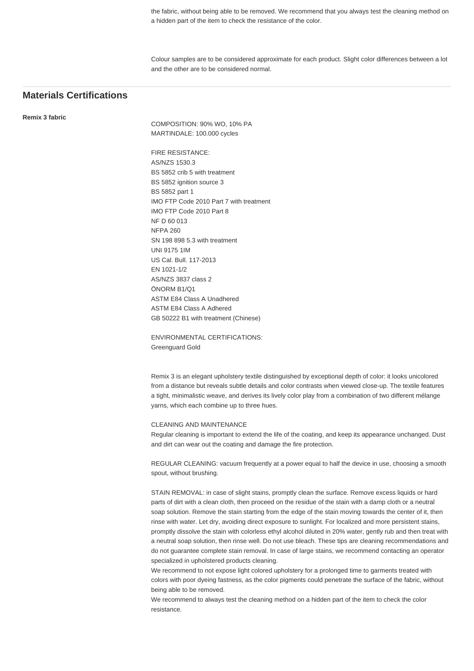the fabric, without being able to be removed. We recommend that you always test the cleaning method on a hidden part of the item to check the resistance of the color.

Colour samples are to be considered approximate for each product. Slight color differences between a lot and the other are to be considered normal.

## **Materials Certifications**

**Remix 3 fabric**

COMPOSITION: 90% WO, 10% PA MARTINDALE: 100.000 cycles

FIRE RESISTANCE: AS/NZS 1530.3 BS 5852 crib 5 with treatment BS 5852 ignition source 3 BS 5852 part 1 IMO FTP Code 2010 Part 7 with treatment IMO FTP Code 2010 Part 8 NF D 60 013 NFPA 260 SN 198 898 5.3 with treatment UNI 9175 1IM US Cal. Bull. 117-2013 EN 1021-1/2 AS/NZS 3837 class 2 ÖNORM B1/Q1 ASTM E84 Class A Unadhered ASTM E84 Class A Adhered GB 50222 B1 with treatment (Chinese)

ENVIRONMENTAL CERTIFICATIONS: Greenguard Gold

Remix 3 is an elegant upholstery textile distinguished by exceptional depth of color: it looks unicolored from a distance but reveals subtle details and color contrasts when viewed close-up. The textile features a tight, minimalistic weave, and derives its lively color play from a combination of two different mélange yarns, which each combine up to three hues.

#### CLEANING AND MAINTENANCE

Regular cleaning is important to extend the life of the coating, and keep its appearance unchanged. Dust and dirt can wear out the coating and damage the fire protection.

REGULAR CLEANING: vacuum frequently at a power equal to half the device in use, choosing a smooth spout, without brushing.

STAIN REMOVAL: in case of slight stains, promptly clean the surface. Remove excess liquids or hard parts of dirt with a clean cloth, then proceed on the residue of the stain with a damp cloth or a neutral soap solution. Remove the stain starting from the edge of the stain moving towards the center of it, then rinse with water. Let dry, avoiding direct exposure to sunlight. For localized and more persistent stains, promptly dissolve the stain with colorless ethyl alcohol diluted in 20% water, gently rub and then treat with a neutral soap solution, then rinse well. Do not use bleach. These tips are cleaning recommendations and do not guarantee complete stain removal. In case of large stains, we recommend contacting an operator specialized in upholstered products cleaning.

We recommend to not expose light colored upholstery for a prolonged time to garments treated with colors with poor dyeing fastness, as the color pigments could penetrate the surface of the fabric, without being able to be removed.

We recommend to always test the cleaning method on a hidden part of the item to check the color resistance.